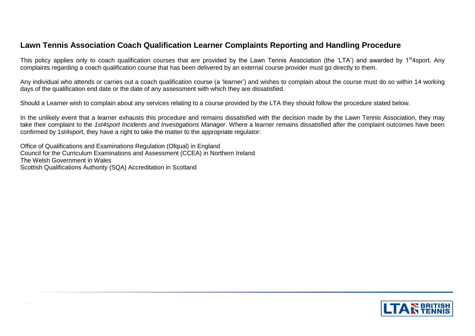# **Lawn Tennis Association Coach Qualification Learner Complaints Reporting and Handling Procedure**

This policy applies only to coach qualification courses that are provided by the Lawn Tennis Association (the 'LTA') and awarded by 1<sup>st</sup>4sport. Any complaints regarding a coach qualification course that has been delivered by an external course provider must go directly to them.

Any individual who attends or carries out a coach qualification course (a 'learner') and wishes to complain about the course must do so within 14 working days of the qualification end date or the date of any assessment with which they are dissatisfied.

Should a Learner wish to complain about any services relating to a course provided by the LTA they should follow the procedure stated below.

In the unlikely event that a learner exhausts this procedure and remains dissatisfied with the decision made by the Lawn Tennis Association, they may take their complaint to the *1st4sport Incidents and Investigations Manager*. Where a learner remains dissatisfied after the complaint outcomes have been confirmed by 1st4sport, they have a right to take the matter to the appropriate regulator:

Office of Qualifications and Examinations Regulation (Ofqual) in England Council for the Curriculum Examinations and Assessment (CCEA) in Northern Ireland The Welsh Government in Wales Scottish Qualifications Authority (SQA) Accreditation in Scotland

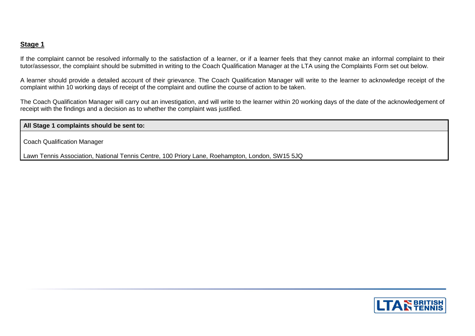#### **Stage 1**

If the complaint cannot be resolved informally to the satisfaction of a learner, or if a learner feels that they cannot make an informal complaint to their tutor/assessor, the complaint should be submitted in writing to the Coach Qualification Manager at the LTA using the Complaints Form set out below.

A learner should provide a detailed account of their grievance. The Coach Qualification Manager will write to the learner to acknowledge receipt of the complaint within 10 working days of receipt of the complaint and outline the course of action to be taken.

The Coach Qualification Manager will carry out an investigation, and will write to the learner within 20 working days of the date of the acknowledgement of receipt with the findings and a decision as to whether the complaint was justified.

**All Stage 1 complaints should be sent to:**

Coach Qualification Manager

Lawn Tennis Association, National Tennis Centre, 100 Priory Lane, Roehampton, London, SW15 5JQ

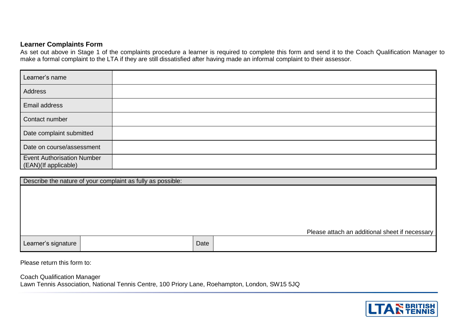## **Learner Complaints Form**

As set out above in Stage 1 of the complaints procedure a learner is required to complete this form and send it to the Coach Qualification Manager to make a formal complaint to the LTA if they are still dissatisfied after having made an informal complaint to their assessor.

| Learner's name                                            |  |
|-----------------------------------------------------------|--|
| Address                                                   |  |
| <b>Email address</b>                                      |  |
| Contact number                                            |  |
| Date complaint submitted                                  |  |
| Date on course/assessment                                 |  |
| <b>Event Authorisation Number</b><br>(EAN)(If applicable) |  |

| Describe the nature of your complaint as fully as possible: |  |      |                                                |  |  |  |
|-------------------------------------------------------------|--|------|------------------------------------------------|--|--|--|
|                                                             |  |      |                                                |  |  |  |
|                                                             |  |      |                                                |  |  |  |
|                                                             |  |      |                                                |  |  |  |
|                                                             |  |      |                                                |  |  |  |
|                                                             |  |      | Please attach an additional sheet if necessary |  |  |  |
| Learner's signature                                         |  | Date |                                                |  |  |  |

Please return this form to:

Coach Qualification Manager

Lawn Tennis Association, National Tennis Centre, 100 Priory Lane, Roehampton, London, SW15 5JQ